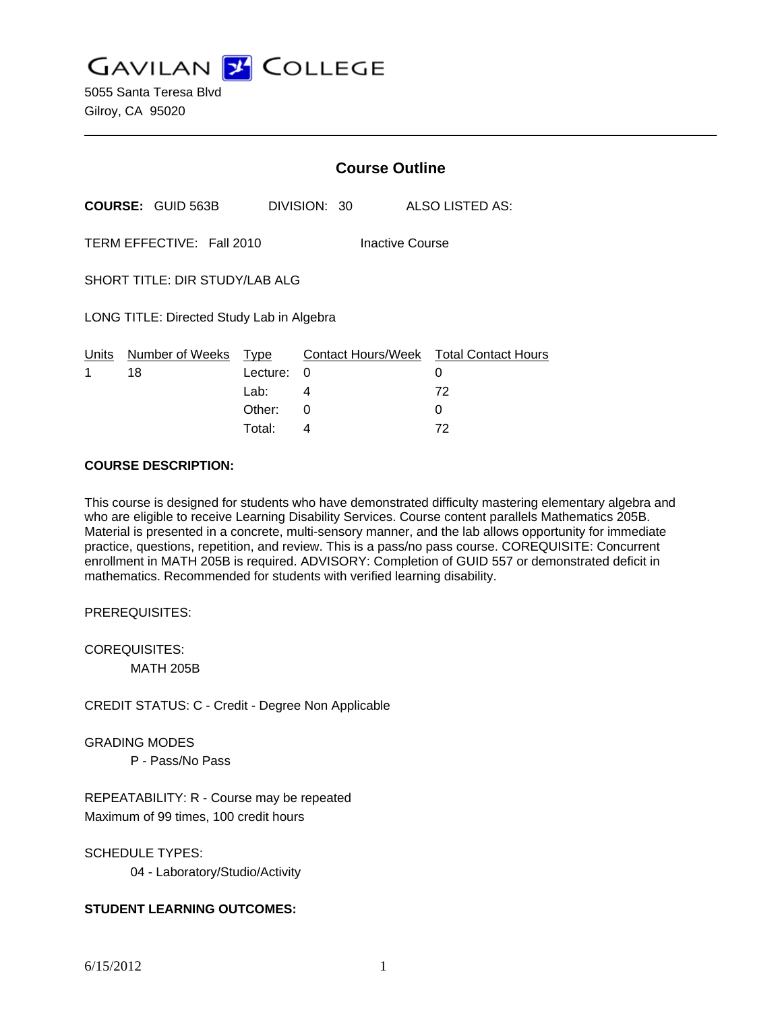**GAVILAN Z COLLEGE** 

5055 Santa Teresa Blvd Gilroy, CA 95020

|                                           |                                |                  | <b>Course Outline</b> |                                             |  |  |
|-------------------------------------------|--------------------------------|------------------|-----------------------|---------------------------------------------|--|--|
|                                           | <b>COURSE: GUID 563B</b>       |                  | DIVISION: 30          | ALSO LISTED AS:                             |  |  |
|                                           | TERM EFFECTIVE: Fall 2010      |                  |                       | <b>Inactive Course</b>                      |  |  |
|                                           | SHORT TITLE: DIR STUDY/LAB ALG |                  |                       |                                             |  |  |
| LONG TITLE: Directed Study Lab in Algebra |                                |                  |                       |                                             |  |  |
| Units<br>1                                | Number of Weeks<br>18          | Type<br>Lecture: | 0                     | Contact Hours/Week Total Contact Hours<br>0 |  |  |
|                                           |                                | Lab:             | 4                     | 72                                          |  |  |
|                                           |                                | Other:           | 0                     | O                                           |  |  |

#### **COURSE DESCRIPTION:**

This course is designed for students who have demonstrated difficulty mastering elementary algebra and who are eligible to receive Learning Disability Services. Course content parallels Mathematics 205B. Material is presented in a concrete, multi-sensory manner, and the lab allows opportunity for immediate practice, questions, repetition, and review. This is a pass/no pass course. COREQUISITE: Concurrent enrollment in MATH 205B is required. ADVISORY: Completion of GUID 557 or demonstrated deficit in mathematics. Recommended for students with verified learning disability.

Total: 4 72

PREREQUISITES:

COREQUISITES: MATH 205B

CREDIT STATUS: C - Credit - Degree Non Applicable

GRADING MODES

P - Pass/No Pass

REPEATABILITY: R - Course may be repeated Maximum of 99 times, 100 credit hours

SCHEDULE TYPES:

04 - Laboratory/Studio/Activity

### **STUDENT LEARNING OUTCOMES:**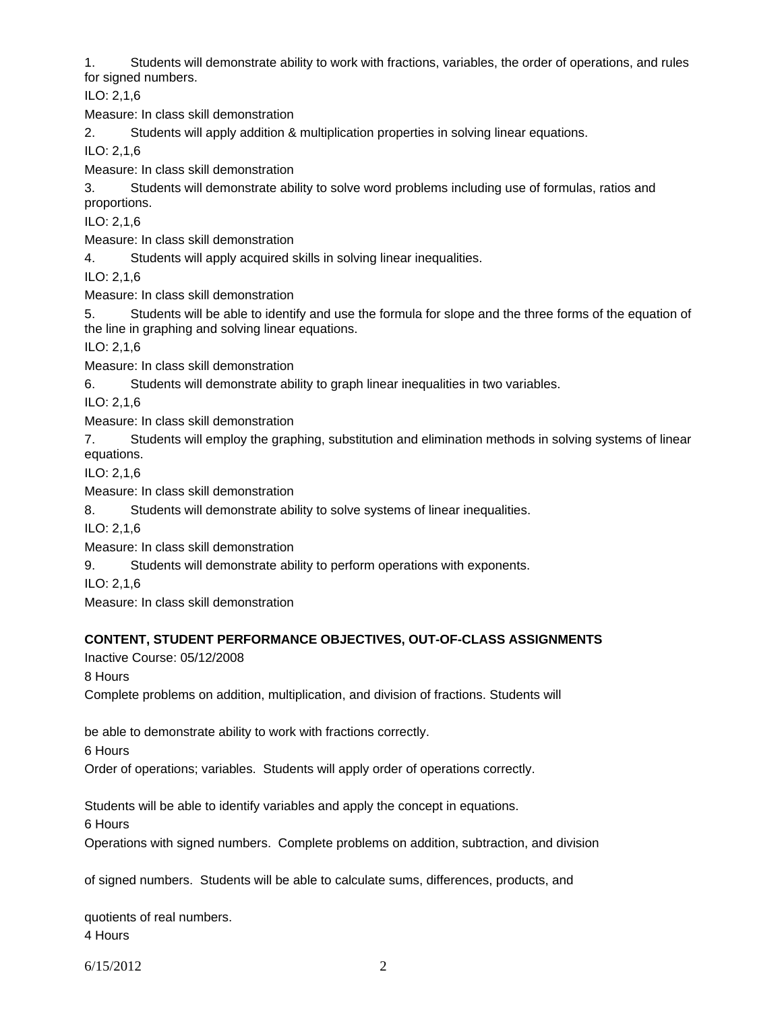1. Students will demonstrate ability to work with fractions, variables, the order of operations, and rules for signed numbers.

ILO: 2,1,6

Measure: In class skill demonstration

2. Students will apply addition & multiplication properties in solving linear equations.

ILO: 2,1,6

Measure: In class skill demonstration

3. Students will demonstrate ability to solve word problems including use of formulas, ratios and proportions.

ILO: 2,1,6

Measure: In class skill demonstration

4. Students will apply acquired skills in solving linear inequalities.

ILO: 2,1,6

Measure: In class skill demonstration

5. Students will be able to identify and use the formula for slope and the three forms of the equation of the line in graphing and solving linear equations.

ILO: 2,1,6

Measure: In class skill demonstration

6. Students will demonstrate ability to graph linear inequalities in two variables.

ILO: 2,1,6

Measure: In class skill demonstration

7. Students will employ the graphing, substitution and elimination methods in solving systems of linear equations.

ILO: 2,1,6

Measure: In class skill demonstration

8. Students will demonstrate ability to solve systems of linear inequalities.

ILO: 2,1,6

Measure: In class skill demonstration

9. Students will demonstrate ability to perform operations with exponents.

ILO: 2,1,6

Measure: In class skill demonstration

# **CONTENT, STUDENT PERFORMANCE OBJECTIVES, OUT-OF-CLASS ASSIGNMENTS**

Inactive Course: 05/12/2008

8 Hours

Complete problems on addition, multiplication, and division of fractions. Students will

be able to demonstrate ability to work with fractions correctly.

6 Hours

Order of operations; variables. Students will apply order of operations correctly.

Students will be able to identify variables and apply the concept in equations.

6 Hours

Operations with signed numbers. Complete problems on addition, subtraction, and division

of signed numbers. Students will be able to calculate sums, differences, products, and

quotients of real numbers. 4 Hours

6/15/2012 2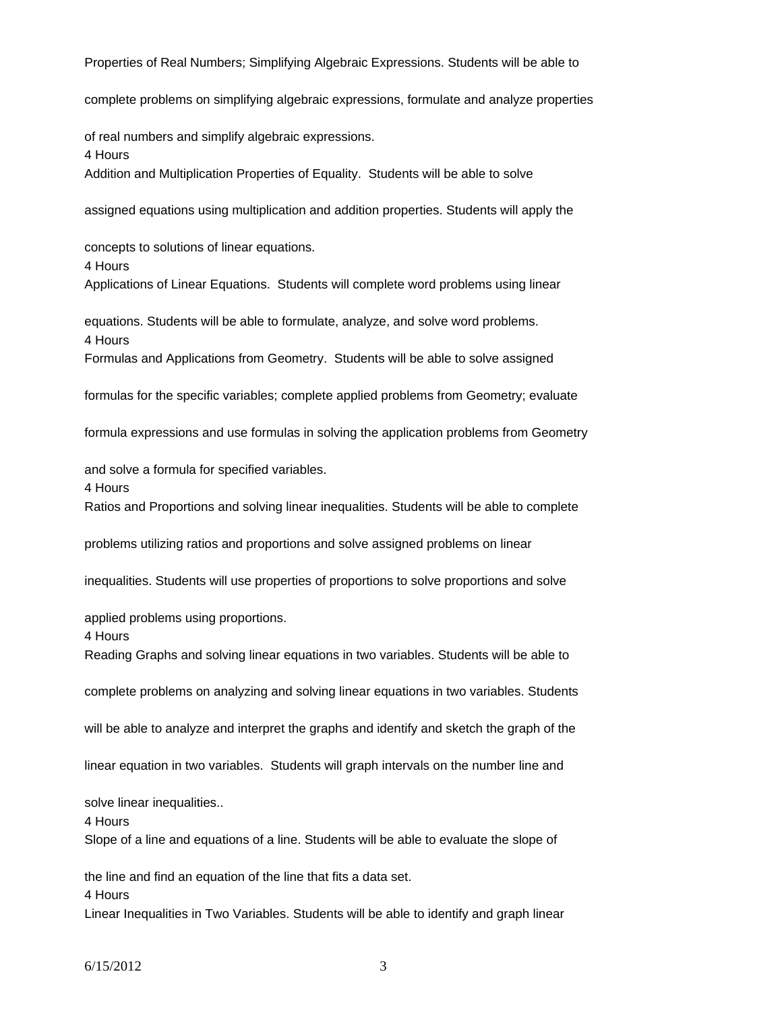Properties of Real Numbers; Simplifying Algebraic Expressions. Students will be able to

complete problems on simplifying algebraic expressions, formulate and analyze properties

of real numbers and simplify algebraic expressions.

4 Hours

Addition and Multiplication Properties of Equality. Students will be able to solve

assigned equations using multiplication and addition properties. Students will apply the

concepts to solutions of linear equations. 4 Hours Applications of Linear Equations. Students will complete word problems using linear

equations. Students will be able to formulate, analyze, and solve word problems. 4 Hours Formulas and Applications from Geometry. Students will be able to solve assigned

formulas for the specific variables; complete applied problems from Geometry; evaluate

formula expressions and use formulas in solving the application problems from Geometry

and solve a formula for specified variables.

4 Hours

Ratios and Proportions and solving linear inequalities. Students will be able to complete

problems utilizing ratios and proportions and solve assigned problems on linear

inequalities. Students will use properties of proportions to solve proportions and solve

applied problems using proportions.

4 Hours

Reading Graphs and solving linear equations in two variables. Students will be able to

complete problems on analyzing and solving linear equations in two variables. Students

will be able to analyze and interpret the graphs and identify and sketch the graph of the

linear equation in two variables. Students will graph intervals on the number line and

solve linear inequalities..

4 Hours

Slope of a line and equations of a line. Students will be able to evaluate the slope of

the line and find an equation of the line that fits a data set.

4 Hours

Linear Inequalities in Two Variables. Students will be able to identify and graph linear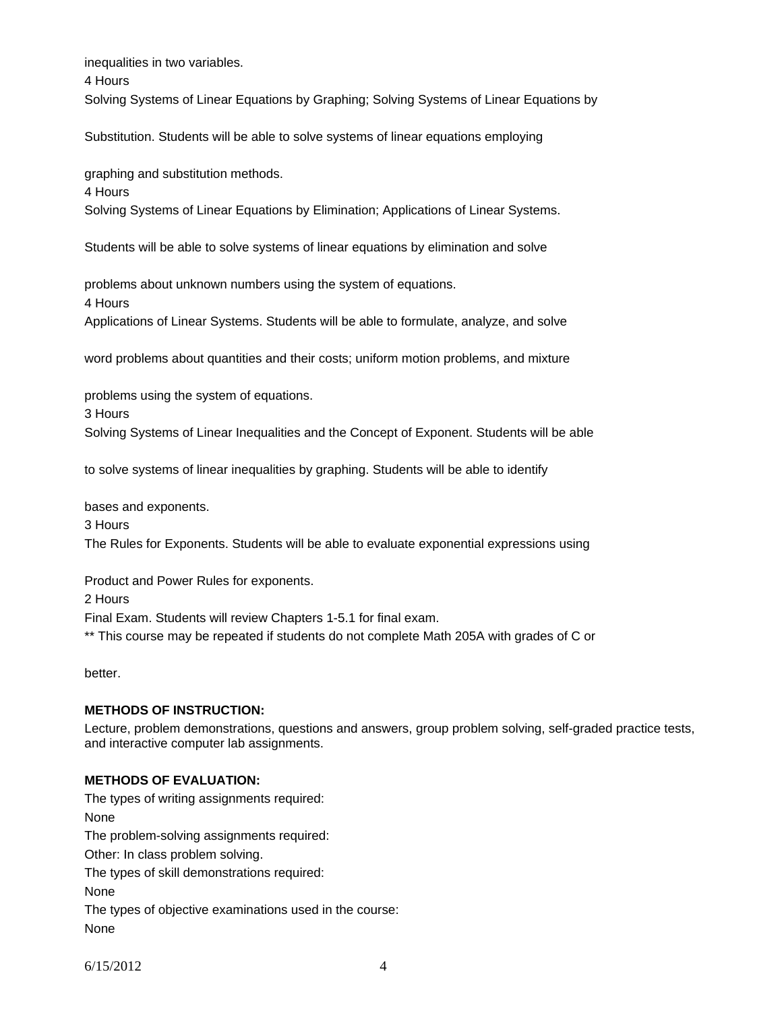inequalities in two variables.

4 Hours

Solving Systems of Linear Equations by Graphing; Solving Systems of Linear Equations by

Substitution. Students will be able to solve systems of linear equations employing

graphing and substitution methods.

4 Hours

Solving Systems of Linear Equations by Elimination; Applications of Linear Systems.

Students will be able to solve systems of linear equations by elimination and solve

problems about unknown numbers using the system of equations.

4 Hours

Applications of Linear Systems. Students will be able to formulate, analyze, and solve

word problems about quantities and their costs; uniform motion problems, and mixture

problems using the system of equations.

3 Hours

Solving Systems of Linear Inequalities and the Concept of Exponent. Students will be able

to solve systems of linear inequalities by graphing. Students will be able to identify

bases and exponents.

3 Hours

The Rules for Exponents. Students will be able to evaluate exponential expressions using

Product and Power Rules for exponents.

2 Hours

Final Exam. Students will review Chapters 1-5.1 for final exam.

\*\* This course may be repeated if students do not complete Math 205A with grades of C or

better.

#### **METHODS OF INSTRUCTION:**

Lecture, problem demonstrations, questions and answers, group problem solving, self-graded practice tests, and interactive computer lab assignments.

# **METHODS OF EVALUATION:**

The types of writing assignments required: None The problem-solving assignments required: Other: In class problem solving. The types of skill demonstrations required: None The types of objective examinations used in the course: None

6/15/2012 4